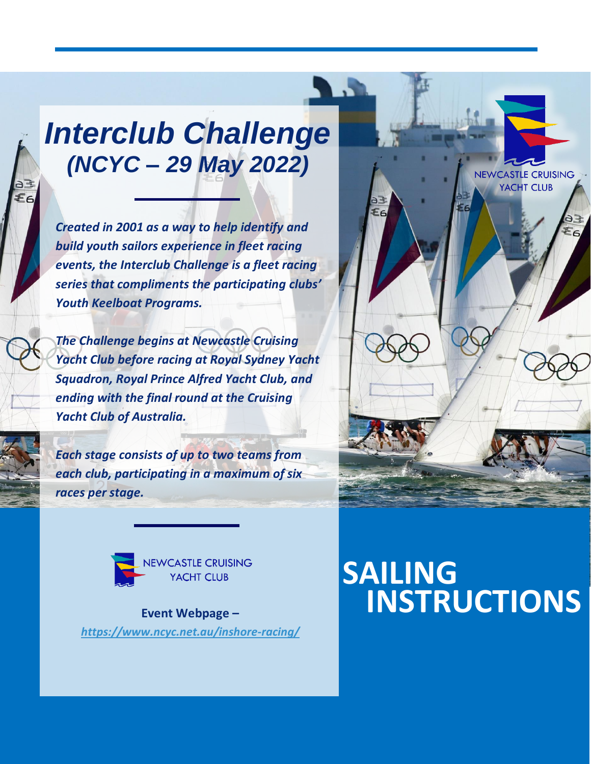# *Interclub Challenge (NCYC – 29 May 2022)*

*Created in 2001 as a way to help identify and build youth sailors experience in fleet racing events, the Interclub Challenge is a fleet racing series that compliments the participating clubs' Youth Keelboat Programs.*

*The Challenge begins at Newcastle Cruising Yacht Club before racing at Royal Sydney Yacht Squadron, Royal Prince Alfred Yacht Club, and ending with the final round at the Cruising Yacht Club of Australia.*

*Each stage consists of up to two teams from each club, participating in a maximum of six races per stage.*



**Event Webpage –** *<https://www.ncyc.net.au/inshore-racing/>*

## **SAILING INSTRUCTIONS**

NEWCASTLE CRUISING YACHT CLUB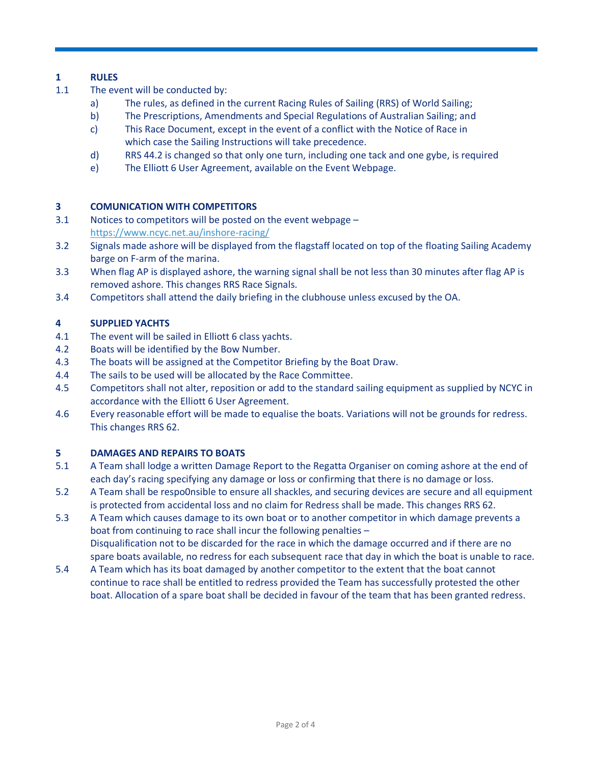## **1 RULES**

- 1.1 The event will be conducted by:
	- a) The rules, as defined in the current Racing Rules of Sailing (RRS) of World Sailing;
	- b) The Prescriptions, Amendments and Special Regulations of Australian Sailing; and
	- c) This Race Document, except in the event of a conflict with the Notice of Race in which case the Sailing Instructions will take precedence.
	- d) RRS 44.2 is changed so that only one turn, including one tack and one gybe, is required
	- e) The Elliott 6 User Agreement, available on the Event Webpage.

## **3 COMUNICATION WITH COMPETITORS**

- 3.1 Notices to competitors will be posted on the event webpage <https://www.ncyc.net.au/inshore-racing/>
- 3.2 Signals made ashore will be displayed from the flagstaff located on top of the floating Sailing Academy barge on F-arm of the marina.
- 3.3 When flag AP is displayed ashore, the warning signal shall be not less than 30 minutes after flag AP is removed ashore. This changes RRS Race Signals.
- 3.4 Competitors shall attend the daily briefing in the clubhouse unless excused by the OA.

### **4 SUPPLIED YACHTS**

- 4.1 The event will be sailed in Elliott 6 class yachts.
- 4.2 Boats will be identified by the Bow Number.
- 4.3 The boats will be assigned at the Competitor Briefing by the Boat Draw.
- 4.4 The sails to be used will be allocated by the Race Committee.
- 4.5 Competitors shall not alter, reposition or add to the standard sailing equipment as supplied by NCYC in accordance with the Elliott 6 User Agreement.
- 4.6 Every reasonable effort will be made to equalise the boats. Variations will not be grounds for redress. This changes RRS 62.

#### **5 DAMAGES AND REPAIRS TO BOATS**

- 5.1 A Team shall lodge a written Damage Report to the Regatta Organiser on coming ashore at the end of each day's racing specifying any damage or loss or confirming that there is no damage or loss.
- 5.2 A Team shall be respo0nsible to ensure all shackles, and securing devices are secure and all equipment is protected from accidental loss and no claim for Redress shall be made. This changes RRS 62.
- 5.3 A Team which causes damage to its own boat or to another competitor in which damage prevents a boat from continuing to race shall incur the following penalties – Disqualification not to be discarded for the race in which the damage occurred and if there are no spare boats available, no redress for each subsequent race that day in which the boat is unable to race.
- 5.4 A Team which has its boat damaged by another competitor to the extent that the boat cannot continue to race shall be entitled to redress provided the Team has successfully protested the other boat. Allocation of a spare boat shall be decided in favour of the team that has been granted redress.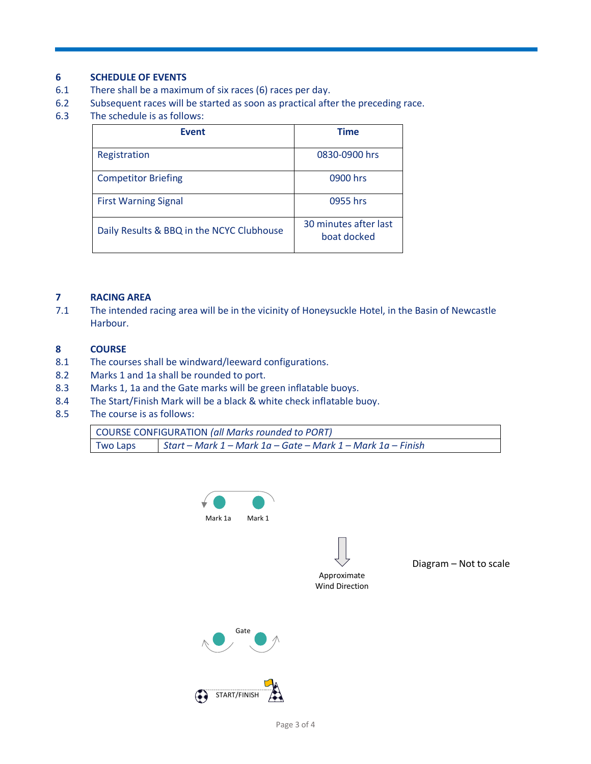#### **6 SCHEDULE OF EVENTS**

- 6.1 There shall be a maximum of six races (6) races per day.
- 6.2 Subsequent races will be started as soon as practical after the preceding race.
- 6.3 The schedule is as follows:

| <b>Event</b>                              | <b>Time</b>                          |
|-------------------------------------------|--------------------------------------|
| Registration                              | 0830-0900 hrs                        |
| <b>Competitor Briefing</b>                | 0900 hrs                             |
| <b>First Warning Signal</b>               | 0955 hrs                             |
| Daily Results & BBQ in the NCYC Clubhouse | 30 minutes after last<br>boat docked |

## **7 RACING AREA**

7.1 The intended racing area will be in the vicinity of Honeysuckle Hotel, in the Basin of Newcastle Harbour.

### **8 COURSE**

- 8.1 The courses shall be windward/leeward configurations.
- 8.2 Marks 1 and 1a shall be rounded to port.
- 8.3 Marks 1, 1a and the Gate marks will be green inflatable buoys.
- 8.4 The Start/Finish Mark will be a black & white check inflatable buoy.
- 8.5 The course is as follows:

| <b>COURSE CONFIGURATION (all Marks rounded to PORT)</b> |                                                             |
|---------------------------------------------------------|-------------------------------------------------------------|
| <b>Two Laps</b>                                         | Start – Mark 1 – Mark 1a – Gate – Mark 1 – Mark 1a – Finish |